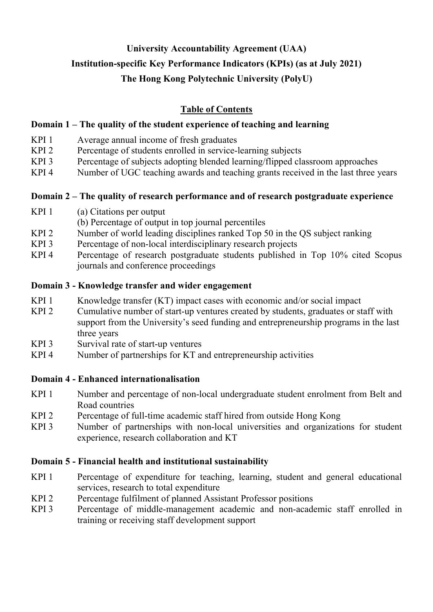# **University Accountability Agreement (UAA) Institution-specific Key Performance Indicators (KPIs) (as at July 2021) The Hong Kong Polytechnic University (PolyU)**

# **Table of Contents**

### **Domain 1 – The quality of the student experience of teaching and learning**

- KPI 1 Average annual income of fresh graduates<br>KPI 2 Percentage of students enrolled in service-
- Percentage of students enrolled in service-learning subjects
- KPI 3 Percentage of subjects adopting blended learning/flipped classroom approaches
- KPI 4 Number of UGC teaching awards and teaching grants received in the last three years

### **Domain 2 – The quality of research performance and of research postgraduate experience**

- KPI 1 (a) Citations per output
- (b) Percentage of output in top journal percentiles
- KPI 2 Number of world leading disciplines ranked Top 50 in the QS subject ranking
- KPI 3 Percentage of non-local interdisciplinary research projects
- KPI 4 Percentage of research postgraduate students published in Top 10% cited Scopus journals and conference proceedings

### **Domain 3 - Knowledge transfer and wider engagement**

- KPI 1 Knowledge transfer (KT) impact cases with economic and/or social impact
- KPI 2 Cumulative number of start-up ventures created by students, graduates or staff with support from the University's seed funding and entrepreneurship programs in the last three years
- KPI 3 Survival rate of start-up ventures
- KPI 4 Number of partnerships for KT and entrepreneurship activities

### **Domain 4 - Enhanced internationalisation**

- KPI 1 Number and percentage of non-local undergraduate student enrolment from Belt and Road countries
- KPI 2 Percentage of full-time academic staff hired from outside Hong Kong
- KPI 3 Number of partnerships with non-local universities and organizations for student experience, research collaboration and KT

### **Domain 5 - Financial health and institutional sustainability**

- KPI 1 Percentage of expenditure for teaching, learning, student and general educational services, research to total expenditure
- KPI 2 Percentage fulfilment of planned Assistant Professor positions
- KPI 3 Percentage of middle-management academic and non-academic staff enrolled in training or receiving staff development support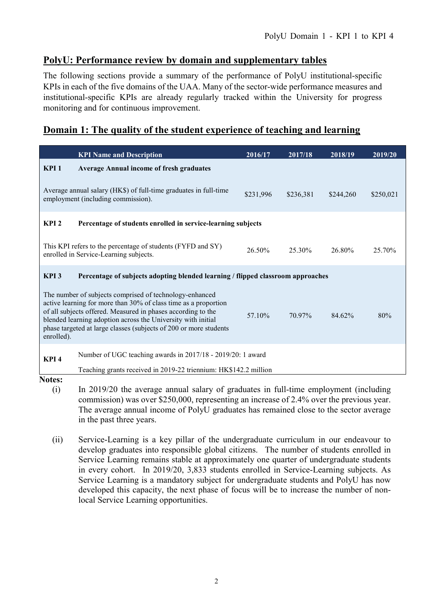### **PolyU: Performance review by domain and supplementary tables**

The following sections provide a summary of the performance of PolyU institutional-specific KPIs in each of the five domains of the UAA. Many of the sector-wide performance measures and institutional-specific KPIs are already regularly tracked within the University for progress monitoring and for continuous improvement.

### **Domain 1: The quality of the student experience of teaching and learning**

| <b>KPI Name and Description</b>                                                                                                                                                                                                                                                                                                               | 2016/17   | 2017/18   | 2018/19   | 2019/20   |  |
|-----------------------------------------------------------------------------------------------------------------------------------------------------------------------------------------------------------------------------------------------------------------------------------------------------------------------------------------------|-----------|-----------|-----------|-----------|--|
| KPI <sub>1</sub><br><b>Average Annual income of fresh graduates</b>                                                                                                                                                                                                                                                                           |           |           |           |           |  |
| Average annual salary (HK\$) of full-time graduates in full-time<br>employment (including commission).                                                                                                                                                                                                                                        | \$231,996 | \$236,381 | \$244,260 | \$250,021 |  |
| KPI <sub>2</sub><br>Percentage of students enrolled in service-learning subjects                                                                                                                                                                                                                                                              |           |           |           |           |  |
| This KPI refers to the percentage of students (FYFD and SY)<br>enrolled in Service-Learning subjects.                                                                                                                                                                                                                                         | 26.50%    | 25.30%    | 26.80%    | 25.70%    |  |
| KPI <sub>3</sub><br>Percentage of subjects adopting blended learning / flipped classroom approaches                                                                                                                                                                                                                                           |           |           |           |           |  |
| The number of subjects comprised of technology-enhanced<br>active learning for more than 30% of class time as a proportion<br>of all subjects offered. Measured in phases according to the<br>blended learning adoption across the University with initial<br>phase targeted at large classes (subjects of 200 or more students<br>enrolled). | 57.10%    | 70.97%    | 84.62%    | 80%       |  |
| Number of UGC teaching awards in 2017/18 - 2019/20: 1 award<br>KPI <sub>4</sub>                                                                                                                                                                                                                                                               |           |           |           |           |  |
| Teaching grants received in 2019-22 triennium: HK\$142.2 million<br>Notes.                                                                                                                                                                                                                                                                    |           |           |           |           |  |

- (i) In 2019/20 the average annual salary of graduates in full-time employment (including commission) was over \$250,000, representing an increase of 2.4% over the previous year. The average annual income of PolyU graduates has remained close to the sector average in the past three years.
- (ii) Service-Learning is a key pillar of the undergraduate curriculum in our endeavour to develop graduates into responsible global citizens. The number of students enrolled in Service Learning remains stable at approximately one quarter of undergraduate students in every cohort. In 2019/20, 3,833 students enrolled in Service-Learning subjects. As Service Learning is a mandatory subject for undergraduate students and PolyU has now developed this capacity, the next phase of focus will be to increase the number of nonlocal Service Learning opportunities.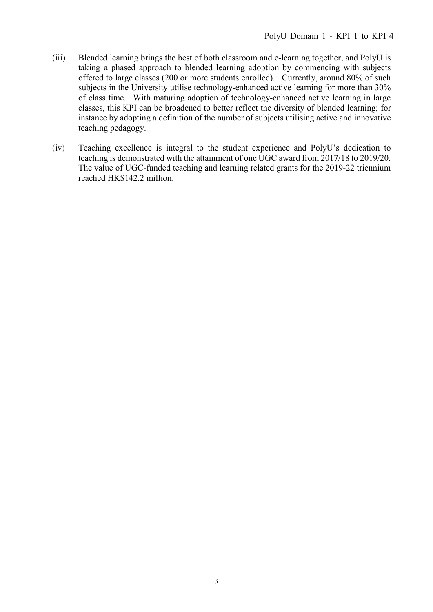- (iii) Blended learning brings the best of both classroom and e-learning together, and PolyU is taking a phased approach to blended learning adoption by commencing with subjects offered to large classes (200 or more students enrolled). Currently, around 80% of such subjects in the University utilise technology-enhanced active learning for more than 30% of class time. With maturing adoption of technology-enhanced active learning in large classes, this KPI can be broadened to better reflect the diversity of blended learning; for instance by adopting a definition of the number of subjects utilising active and innovative teaching pedagogy.
- (iv) Teaching excellence is integral to the student experience and PolyU's dedication to teaching is demonstrated with the attainment of one UGC award from 2017/18 to 2019/20. The value of UGC-funded teaching and learning related grants for the 2019-22 triennium reached HK\$142.2 million.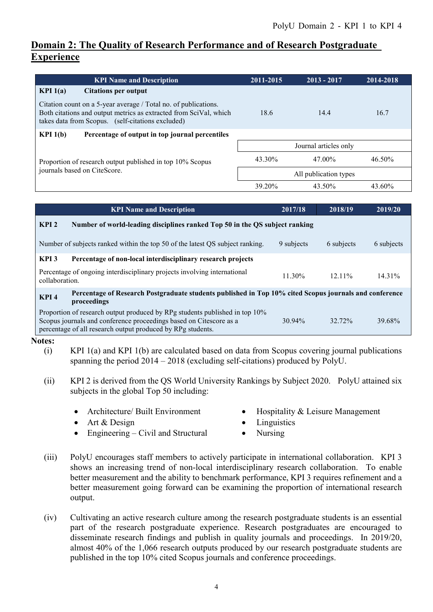# **Domain 2: The Quality of Research Performance and of Research Postgraduate Experience**

| <b>KPI Name and Description</b>                                                                                                                                                           | 2011-2015             | $2013 - 2017$ | 2014-2018 |  |
|-------------------------------------------------------------------------------------------------------------------------------------------------------------------------------------------|-----------------------|---------------|-----------|--|
| KPI $1(a)$<br><b>Citations per output</b>                                                                                                                                                 |                       |               |           |  |
| Citation count on a 5-year average / Total no. of publications.<br>Both citations and output metrics as extracted from SciVal, which<br>takes data from Scopus. (self-citations excluded) | 18.6                  | 14.4          | 16.7      |  |
| KPI $1(b)$<br>Percentage of output in top journal percentiles                                                                                                                             |                       |               |           |  |
|                                                                                                                                                                                           | Journal articles only |               |           |  |
| Proportion of research output published in top 10% Scopus                                                                                                                                 | 43.30%                | 47.00%        | 46.50%    |  |
| journals based on CiteScore.                                                                                                                                                              | All publication types |               |           |  |
|                                                                                                                                                                                           | 39.20%                | 43.50%        | 43.60%    |  |

| <b>KPI Name and Description</b>                                                                                                                                                                                  | 2017/18    | 2018/19    | 2019/20    |  |  |
|------------------------------------------------------------------------------------------------------------------------------------------------------------------------------------------------------------------|------------|------------|------------|--|--|
| KPI <sub>2</sub><br>Number of world-leading disciplines ranked Top 50 in the QS subject ranking                                                                                                                  |            |            |            |  |  |
| Number of subjects ranked within the top 50 of the latest QS subject ranking.                                                                                                                                    | 9 subjects | 6 subjects | 6 subjects |  |  |
| KPI <sub>3</sub><br>Percentage of non-local interdisciplinary research projects                                                                                                                                  |            |            |            |  |  |
| Percentage of ongoing interdisciplinary projects involving international<br>collaboration.                                                                                                                       | 11.30%     | $12.11\%$  | $14.31\%$  |  |  |
| Percentage of Research Postgraduate students published in Top 10% cited Scopus journals and conference<br>KPI <sub>4</sub><br>proceedings                                                                        |            |            |            |  |  |
| Proportion of research output produced by RPg students published in top 10%<br>Scopus journals and conference proceedings based on Citescore as a<br>percentage of all research output produced by RPg students. | $30.94\%$  | 32.72%     | 39.68%     |  |  |

- (i) KPI 1(a) and KPI 1(b) are calculated based on data from Scopus covering journal publications spanning the period 2014 – 2018 (excluding self-citations) produced by PolyU.
- (ii) KPI 2 is derived from the QS World University Rankings by Subject 2020. PolyU attained six subjects in the global Top 50 including:
	-
	- Architecture/ Built Environment Hospitality & Leisure Management
	- Art & Design Linguistics
		-
	- Engineering Civil and Structural Nursing
- 
- (iii) PolyU encourages staff members to actively participate in international collaboration. KPI 3 shows an increasing trend of non-local interdisciplinary research collaboration. To enable better measurement and the ability to benchmark performance, KPI 3 requires refinement and a better measurement going forward can be examining the proportion of international research output.
- (iv) Cultivating an active research culture among the research postgraduate students is an essential part of the research postgraduate experience. Research postgraduates are encouraged to disseminate research findings and publish in quality journals and proceedings. In 2019/20, almost 40% of the 1,066 research outputs produced by our research postgraduate students are published in the top 10% cited Scopus journals and conference proceedings.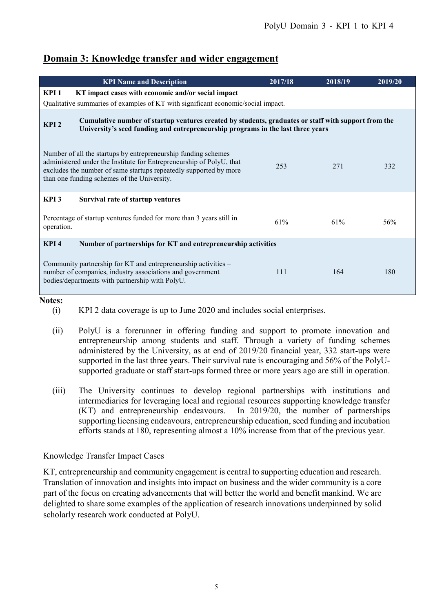# **Domain 3: Knowledge transfer and wider engagement**

|                                                                                                                                                                                                            | <b>KPI Name and Description</b>                                                                                                                                                                                                                            | 2017/18 | 2018/19 | 2019/20 |  |
|------------------------------------------------------------------------------------------------------------------------------------------------------------------------------------------------------------|------------------------------------------------------------------------------------------------------------------------------------------------------------------------------------------------------------------------------------------------------------|---------|---------|---------|--|
| KPI <sub>1</sub>                                                                                                                                                                                           | KT impact cases with economic and/or social impact                                                                                                                                                                                                         |         |         |         |  |
|                                                                                                                                                                                                            | Qualitative summaries of examples of KT with significant economic/social impact.                                                                                                                                                                           |         |         |         |  |
| Cumulative number of startup ventures created by students, graduates or staff with support from the<br>KPI <sub>2</sub><br>University's seed funding and entrepreneurship programs in the last three years |                                                                                                                                                                                                                                                            |         |         |         |  |
|                                                                                                                                                                                                            | Number of all the startups by entrepreneurship funding schemes<br>administered under the Institute for Entrepreneurship of PolyU, that<br>excludes the number of same startups repeatedly supported by more<br>than one funding schemes of the University. | 253     | 271     | 332     |  |
| KPI <sub>3</sub>                                                                                                                                                                                           | Survival rate of startup ventures                                                                                                                                                                                                                          |         |         |         |  |
| operation.                                                                                                                                                                                                 | Percentage of startup ventures funded for more than 3 years still in                                                                                                                                                                                       | 61%     | 61%     | 56%     |  |
| KPI <sub>4</sub>                                                                                                                                                                                           | Number of partnerships for KT and entrepreneurship activities                                                                                                                                                                                              |         |         |         |  |
|                                                                                                                                                                                                            | Community partnership for KT and entrepreneurship activities –<br>number of companies, industry associations and government<br>bodies/departments with partnership with PolyU.                                                                             | 111     | 164     | 180     |  |

#### **Notes:**

- (i) KPI 2 data coverage is up to June 2020 and includes social enterprises.
- (ii) PolyU is a forerunner in offering funding and support to promote innovation and entrepreneurship among students and staff. Through a variety of funding schemes administered by the University, as at end of 2019/20 financial year, 332 start-ups were supported in the last three years. Their survival rate is encouraging and 56% of the PolyUsupported graduate or staff start-ups formed three or more years ago are still in operation.
- (iii) The University continues to develop regional partnerships with institutions and intermediaries for leveraging local and regional resources supporting knowledge transfer (KT) and entrepreneurship endeavours. In 2019/20, the number of partnerships supporting licensing endeavours, entrepreneurship education, seed funding and incubation efforts stands at 180, representing almost a 10% increase from that of the previous year.

### Knowledge Transfer Impact Cases

KT, entrepreneurship and community engagement is central to supporting education and research. Translation of innovation and insights into impact on business and the wider community is a core part of the focus on creating advancements that will better the world and benefit mankind. We are delighted to share some examples of the application of research innovations underpinned by solid scholarly research work conducted at PolyU.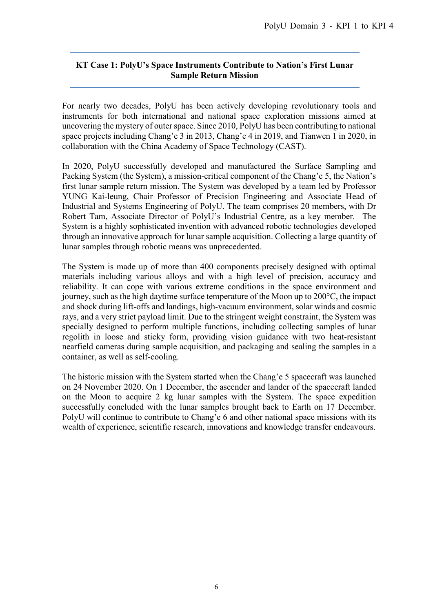### **KT Case 1: PolyU's Space Instruments Contribute to Nation's First Lunar Sample Return Mission**

For nearly two decades, PolyU has been actively developing revolutionary tools and instruments for both international and national space exploration missions aimed at uncovering the mystery of outer space. Since 2010, PolyU has been contributing to national space projects including Chang'e 3 in 2013, Chang'e 4 in 2019, and Tianwen 1 in 2020, in collaboration with the China Academy of Space Technology (CAST).

In 2020, PolyU successfully developed and manufactured the Surface Sampling and Packing System (the System), a mission-critical component of the Chang'e 5, the Nation's first lunar sample return mission. The System was developed by a team led by Professor YUNG Kai-leung, Chair Professor of Precision Engineering and Associate Head of Industrial and Systems Engineering of PolyU. The team comprises 20 members, with Dr Robert Tam, Associate Director of PolyU's Industrial Centre, as a key member. The System is a highly sophisticated invention with advanced robotic technologies developed through an innovative approach for lunar sample acquisition. Collecting a large quantity of lunar samples through robotic means was unprecedented.

The System is made up of more than 400 components precisely designed with optimal materials including various alloys and with a high level of precision, accuracy and reliability. It can cope with various extreme conditions in the space environment and journey, such as the high daytime surface temperature of the Moon up to 200°C, the impact and shock during lift-offs and landings, high-vacuum environment, solar winds and cosmic rays, and a very strict payload limit. Due to the stringent weight constraint, the System was specially designed to perform multiple functions, including collecting samples of lunar regolith in loose and sticky form, providing vision guidance with two heat-resistant nearfield cameras during sample acquisition, and packaging and sealing the samples in a container, as well as self-cooling.

The historic mission with the System started when the Chang'e 5 spacecraft was launched on 24 November 2020. On 1 December, the ascender and lander of the spacecraft landed on the Moon to acquire 2 kg lunar samples with the System. The space expedition successfully concluded with the lunar samples brought back to Earth on 17 December. PolyU will continue to contribute to Chang'e 6 and other national space missions with its wealth of experience, scientific research, innovations and knowledge transfer endeavours.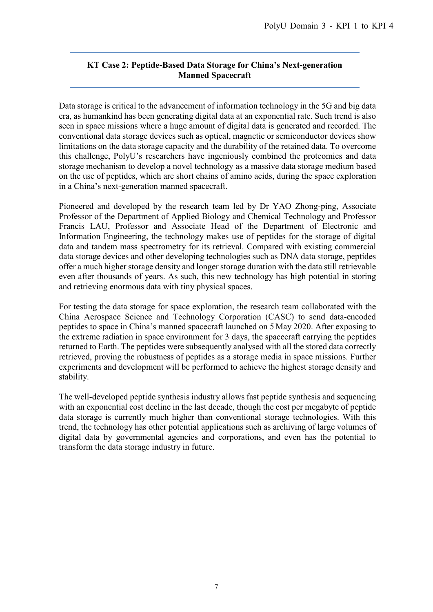### **KT Case 2: Peptide-Based Data Storage for China's Next-generation Manned Spacecraft**

Data storage is critical to the advancement of information technology in the 5G and big data era, as humankind has been generating digital data at an exponential rate. Such trend is also seen in space missions where a huge amount of digital data is generated and recorded. The conventional data storage devices such as optical, magnetic or semiconductor devices show limitations on the data storage capacity and the durability of the retained data. To overcome this challenge, PolyU's researchers have ingeniously combined the proteomics and data storage mechanism to develop a novel technology as a massive data storage medium based on the use of peptides, which are short chains of amino acids, during the space exploration in a China's next-generation manned spacecraft.

Pioneered and developed by the research team led by Dr YAO Zhong-ping, Associate Professor of the Department of Applied Biology and Chemical Technology and Professor Francis LAU, Professor and Associate Head of the Department of Electronic and Information Engineering, the technology makes use of peptides for the storage of digital data and tandem mass spectrometry for its retrieval. Compared with existing commercial data storage devices and other developing technologies such as DNA data storage, peptides offer a much higher storage density and longer storage duration with the data still retrievable even after thousands of years. As such, this new technology has high potential in storing and retrieving enormous data with tiny physical spaces.

For testing the data storage for space exploration, the research team collaborated with the China Aerospace Science and Technology Corporation (CASC) to send data-encoded peptides to space in China's manned spacecraft launched on 5 May 2020. After exposing to the extreme radiation in space environment for 3 days, the spacecraft carrying the peptides returned to Earth. The peptides were subsequently analysed with all the stored data correctly retrieved, proving the robustness of peptides as a storage media in space missions. Further experiments and development will be performed to achieve the highest storage density and stability.

The well-developed peptide synthesis industry allows fast peptide synthesis and sequencing with an exponential cost decline in the last decade, though the cost per megabyte of peptide data storage is currently much higher than conventional storage technologies. With this trend, the technology has other potential applications such as archiving of large volumes of digital data by governmental agencies and corporations, and even has the potential to transform the data storage industry in future.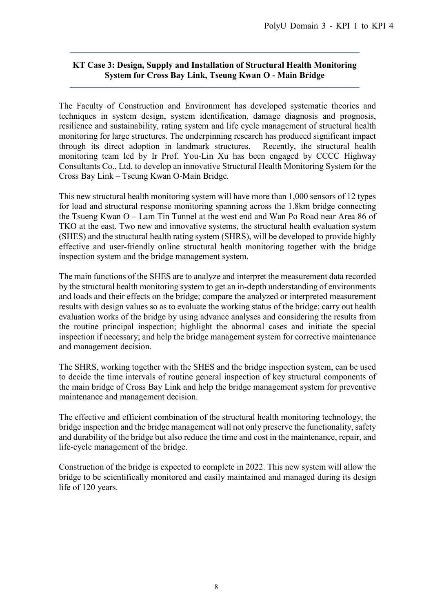### **KT Case 3: Design, Supply and Installation of Structural Health Monitoring System for Cross Bay Link, Tseung Kwan O - Main Bridge**

The Faculty of Construction and Environment has developed systematic theories and techniques in system design, system identification, damage diagnosis and prognosis, resilience and sustainability, rating system and life cycle management of structural health monitoring for large structures. The underpinning research has produced significant impact through its direct adoption in landmark structures. Recently, the structural health monitoring team led by Ir Prof. You-Lin Xu has been engaged by CCCC Highway Consultants Co., Ltd. to develop an innovative Structural Health Monitoring System for the Cross Bay Link – Tseung Kwan O-Main Bridge.

This new structural health monitoring system will have more than 1,000 sensors of 12 types for load and structural response monitoring spanning across the 1.8km bridge connecting the Tsueng Kwan O – Lam Tin Tunnel at the west end and Wan Po Road near Area 86 of TKO at the east. Two new and innovative systems, the structural health evaluation system (SHES) and the structural health rating system (SHRS), will be developed to provide highly effective and user-friendly online structural health monitoring together with the bridge inspection system and the bridge management system.

The main functions of the SHES are to analyze and interpret the measurement data recorded by the structural health monitoring system to get an in-depth understanding of environments and loads and their effects on the bridge; compare the analyzed or interpreted measurement results with design values so as to evaluate the working status of the bridge; carry out health evaluation works of the bridge by using advance analyses and considering the results from the routine principal inspection; highlight the abnormal cases and initiate the special inspection if necessary; and help the bridge management system for corrective maintenance and management decision.

The SHRS, working together with the SHES and the bridge inspection system, can be used to decide the time intervals of routine general inspection of key structural components of the main bridge of Cross Bay Link and help the bridge management system for preventive maintenance and management decision.

The effective and efficient combination of the structural health monitoring technology, the bridge inspection and the bridge management will not only preserve the functionality, safety and durability of the bridge but also reduce the time and cost in the maintenance, repair, and life-cycle management of the bridge.

Construction of the bridge is expected to complete in 2022. This new system will allow the bridge to be scientifically monitored and easily maintained and managed during its design life of 120 years.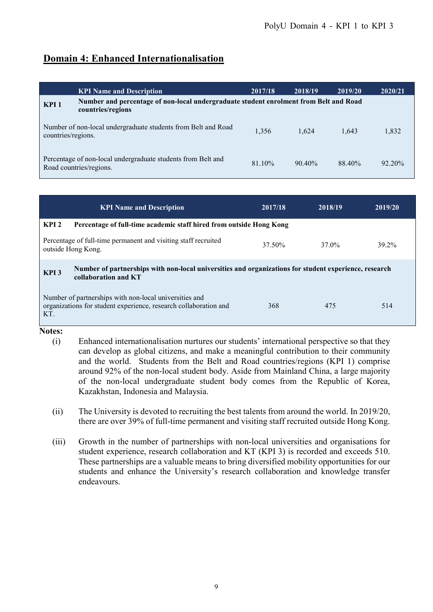# **Domain 4: Enhanced Internationalisation**

|                    | <b>KPI Name and Description</b>                                                                            | 2017/18 | 2018/19   | 2019/20 | 2020/21   |
|--------------------|------------------------------------------------------------------------------------------------------------|---------|-----------|---------|-----------|
| KPI <sub>1</sub>   | Number and percentage of non-local undergraduate student enrolment from Belt and Road<br>countries/regions |         |           |         |           |
| countries/regions. | Number of non-local undergraduate students from Belt and Road                                              | 1,356   | 1.624     | 1.643   | 1,832     |
|                    | Percentage of non-local undergraduate students from Belt and<br>Road countries/regions.                    | 81.10%  | $90.40\%$ | 88.40%  | $92.20\%$ |

|                  | <b>KPI Name and Description</b>                                                                                               | 2017/18 | 2018/19 | 2019/20 |
|------------------|-------------------------------------------------------------------------------------------------------------------------------|---------|---------|---------|
| KPI <sub>2</sub> | Percentage of full-time academic staff hired from outside Hong Kong                                                           |         |         |         |
|                  | Percentage of full-time permanent and visiting staff recruited<br>outside Hong Kong.                                          | 37.50%  | 37.0%   | 39.2%   |
| KPI <sub>3</sub> | Number of partnerships with non-local universities and organizations for student experience, research<br>collaboration and KT |         |         |         |
| KT.              | Number of partnerships with non-local universities and<br>organizations for student experience, research collaboration and    | 368     | 475     | 514     |

- (i) Enhanced internationalisation nurtures our students' international perspective so that they can develop as global citizens, and make a meaningful contribution to their community and the world. Students from the Belt and Road countries/regions (KPI 1) comprise around 92% of the non-local student body. Aside from Mainland China, a large majority of the non-local undergraduate student body comes from the Republic of Korea, Kazakhstan, Indonesia and Malaysia.
- (ii) The University is devoted to recruiting the best talents from around the world. In 2019/20, there are over 39% of full-time permanent and visiting staff recruited outside Hong Kong.
- (iii) Growth in the number of partnerships with non-local universities and organisations for student experience, research collaboration and KT (KPI 3) is recorded and exceeds 510. These partnerships are a valuable means to bring diversified mobility opportunities for our students and enhance the University's research collaboration and knowledge transfer endeavours.